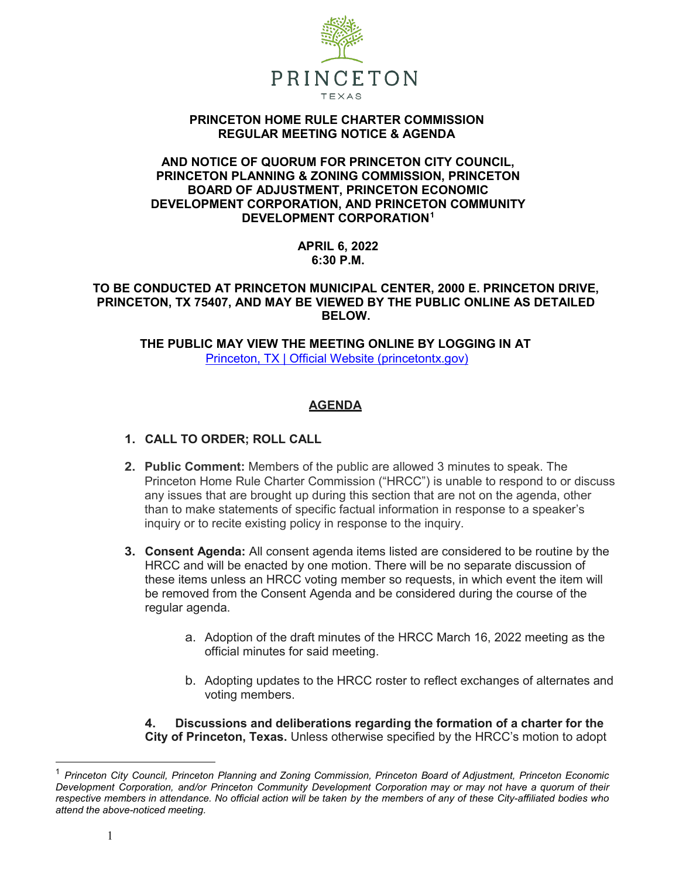

### **PRINCETON HOME RULE CHARTER COMMISSION REGULAR MEETING NOTICE & AGENDA**

### **AND NOTICE OF QUORUM FOR PRINCETON CITY COUNCIL, PRINCETON PLANNING & ZONING COMMISSION, PRINCETON BOARD OF ADJUSTMENT, PRINCETON ECONOMIC DEVELOPMENT CORPORATION, AND PRINCETON COMMUNITY DEVELOPMENT CORPORATION[1](#page-0-0)**

**APRIL 6, 2022 6:30 P.M.**

## **TO BE CONDUCTED AT PRINCETON MUNICIPAL CENTER, 2000 E. PRINCETON DRIVE, PRINCETON, TX 75407, AND MAY BE VIEWED BY THE PUBLIC ONLINE AS DETAILED BELOW.**

**THE PUBLIC MAY VIEW THE MEETING ONLINE BY LOGGING IN AT** [Princeton, TX | Official Website \(princetontx.gov\)](https://princetontx.gov/)

# **AGENDA**

# **1. CALL TO ORDER; ROLL CALL**

- **2. Public Comment:** Members of the public are allowed 3 minutes to speak. The Princeton Home Rule Charter Commission ("HRCC") is unable to respond to or discuss any issues that are brought up during this section that are not on the agenda, other than to make statements of specific factual information in response to a speaker's inquiry or to recite existing policy in response to the inquiry.
- **3. Consent Agenda:** All consent agenda items listed are considered to be routine by the HRCC and will be enacted by one motion. There will be no separate discussion of these items unless an HRCC voting member so requests, in which event the item will be removed from the Consent Agenda and be considered during the course of the regular agenda.
	- a. Adoption of the draft minutes of the HRCC March 16, 2022 meeting as the official minutes for said meeting.
	- b. Adopting updates to the HRCC roster to reflect exchanges of alternates and voting members.

**4. Discussions and deliberations regarding the formation of a charter for the City of Princeton, Texas.** Unless otherwise specified by the HRCC's motion to adopt

<span id="page-0-0"></span> <sup>1</sup> *Princeton City Council, Princeton Planning and Zoning Commission, Princeton Board of Adjustment, Princeton Economic Development Corporation, and/or Princeton Community Development Corporation may or may not have a quorum of their* respective members in attendance. No official action will be taken by the members of any of these City-affiliated bodies who *attend the above-noticed meeting.*